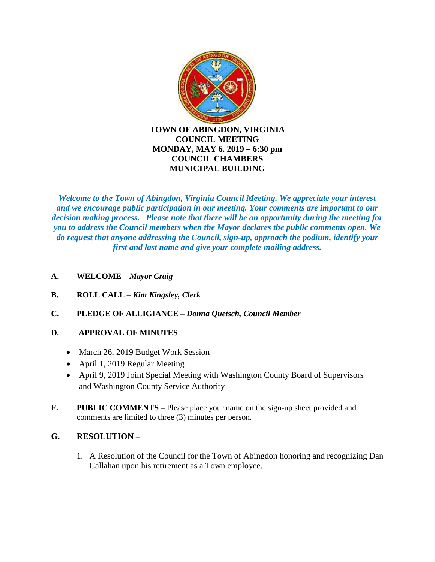

*Welcome to the Town of Abingdon, Virginia Council Meeting. We appreciate your interest and we encourage public participation in our meeting. Your comments are important to our decision making process. Please note that there will be an opportunity during the meeting for you to address the Council members when the Mayor declares the public comments open. We do request that anyone addressing the Council, sign-up, approach the podium, identify your first and last name and give your complete mailing address.*

- **A. WELCOME –** *Mayor Craig*
- **B. ROLL CALL –** *Kim Kingsley, Clerk*
- **C. PLEDGE OF ALLIGIANCE –** *Donna Quetsch, Council Member*

### **D. APPROVAL OF MINUTES**

- March 26, 2019 Budget Work Session
- April 1, 2019 Regular Meeting
- April 9, 2019 Joint Special Meeting with Washington County Board of Supervisors and Washington County Service Authority
- **F. PUBLIC COMMENTS –** Please place your name on the sign-up sheet provided and comments are limited to three (3) minutes per person.

### **G. RESOLUTION –**

1. A Resolution of the Council for the Town of Abingdon honoring and recognizing Dan Callahan upon his retirement as a Town employee.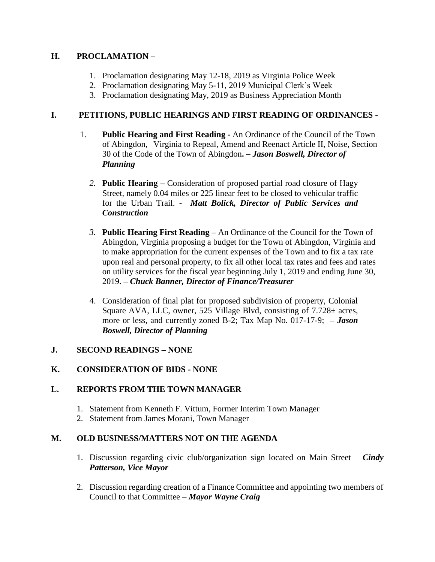# **H. PROCLAMATION –**

- 1. Proclamation designating May 12-18, 2019 as Virginia Police Week
- 2. Proclamation designating May 5-11, 2019 Municipal Clerk's Week
- 3. Proclamation designating May, 2019 as Business Appreciation Month

# **I. PETITIONS, PUBLIC HEARINGS AND FIRST READING OF ORDINANCES -**

- 1. **Public Hearing and First Reading -** An Ordinance of the Council of the Town of Abingdon, Virginia to Repeal, Amend and Reenact Article II, Noise, Section 30 of the Code of the Town of Abingdon**. –** *Jason Boswell, Director of Planning*
	- *2.* **Public Hearing –** Consideration of proposed partial road closure of Hagy Street, namely 0.04 miles or 225 linear feet to be closed to vehicular traffic for the Urban Trail. **-** *Matt Bolick, Director of Public Services and Construction*
	- *3.* **Public Hearing First Reading –** An Ordinance of the Council for the Town of Abingdon, Virginia proposing a budget for the Town of Abingdon, Virginia and to make appropriation for the current expenses of the Town and to fix a tax rate upon real and personal property, to fix all other local tax rates and fees and rates on utility services for the fiscal year beginning July 1, 2019 and ending June 30, 2019. **–** *Chuck Banner, Director of Finance/Treasurer*
	- 4. Consideration of final plat for proposed subdivision of property, Colonial Square AVA, LLC, owner, 525 Village Blvd, consisting of 7.728± acres, more or less, and currently zoned B-2; Tax Map No. 017-17-9; *– Jason Boswell, Director of Planning*

### **J. SECOND READINGS – NONE**

# **K. CONSIDERATION OF BIDS - NONE**

### **L. REPORTS FROM THE TOWN MANAGER**

- 1. Statement from Kenneth F. Vittum, Former Interim Town Manager
- 2. Statement from James Morani, Town Manager

### **M. OLD BUSINESS/MATTERS NOT ON THE AGENDA**

- 1. Discussion regarding civic club/organization sign located on Main Street *Cindy Patterson, Vice Mayor*
- 2. Discussion regarding creation of a Finance Committee and appointing two members of Council to that Committee – *Mayor Wayne Craig*